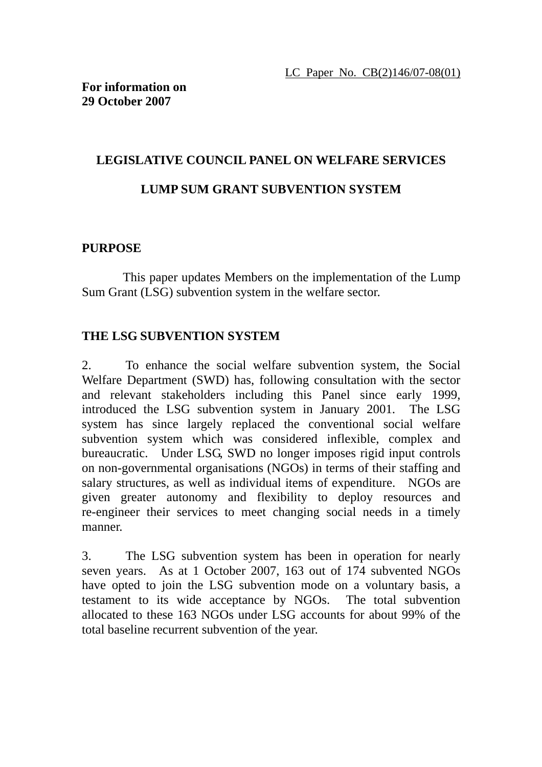# **LEGISLATIVE COUNCIL PANEL ON WELFARE SERVICES LUMP SUM GRANT SUBVENTION SYSTEM**

## **PURPOSE**

This paper updates Members on the implementation of the Lump Sum Grant (LSG) subvention system in the welfare sector.

# **THE LSG SUBVENTION SYSTEM**

2. To enhance the social welfare subvention system, the Social Welfare Department (SWD) has, following consultation with the sector and relevant stakeholders including this Panel since early 1999, introduced the LSG subvention system in January 2001. The LSG system has since largely replaced the conventional social welfare subvention system which was considered inflexible, complex and bureaucratic. Under LSG, SWD no longer imposes rigid input controls on non-governmental organisations (NGOs) in terms of their staffing and salary structures, as well as individual items of expenditure. NGOs are given greater autonomy and flexibility to deploy resources and re-engineer their services to meet changing social needs in a timely manner.

3. The LSG subvention system has been in operation for nearly seven years. As at 1 October 2007, 163 out of 174 subvented NGOs have opted to join the LSG subvention mode on a voluntary basis, a testament to its wide acceptance by NGOs. The total subvention allocated to these 163 NGOs under LSG accounts for about 99% of the total baseline recurrent subvention of the year.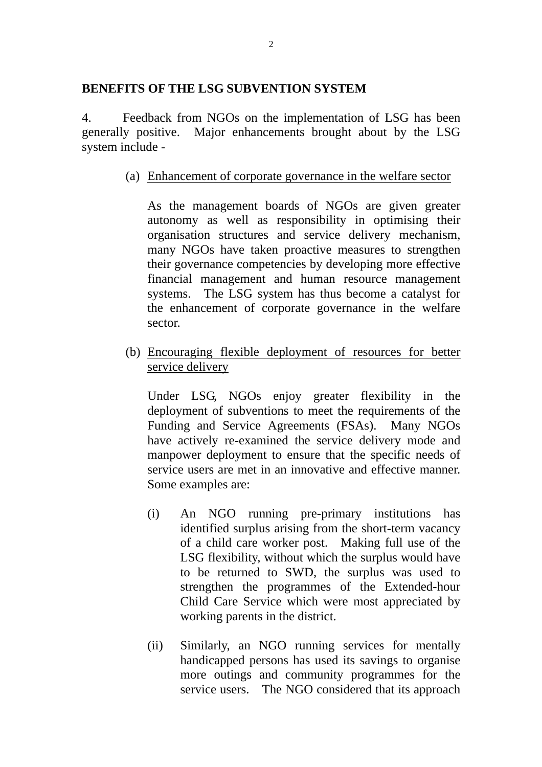#### **BENEFITS OF THE LSG SUBVENTION SYSTEM**

4. Feedback from NGOs on the implementation of LSG has been generally positive. Major enhancements brought about by the LSG system include -

(a) Enhancement of corporate governance in the welfare sector

As the management boards of NGOs are given greater autonomy as well as responsibility in optimising their organisation structures and service delivery mechanism, many NGOs have taken proactive measures to strengthen their governance competencies by developing more effective financial management and human resource management systems. The LSG system has thus become a catalyst for the enhancement of corporate governance in the welfare sector.

(b) Encouraging flexible deployment of resources for better service delivery

 Under LSG, NGOs enjoy greater flexibility in the deployment of subventions to meet the requirements of the Funding and Service Agreements (FSAs). Many NGOs have actively re-examined the service delivery mode and manpower deployment to ensure that the specific needs of service users are met in an innovative and effective manner. Some examples are:

- (i) An NGO running pre-primary institutions has identified surplus arising from the short-term vacancy of a child care worker post. Making full use of the LSG flexibility, without which the surplus would have to be returned to SWD, the surplus was used to strengthen the programmes of the Extended-hour Child Care Service which were most appreciated by working parents in the district.
- (ii) Similarly, an NGO running services for mentally handicapped persons has used its savings to organise more outings and community programmes for the service users. The NGO considered that its approach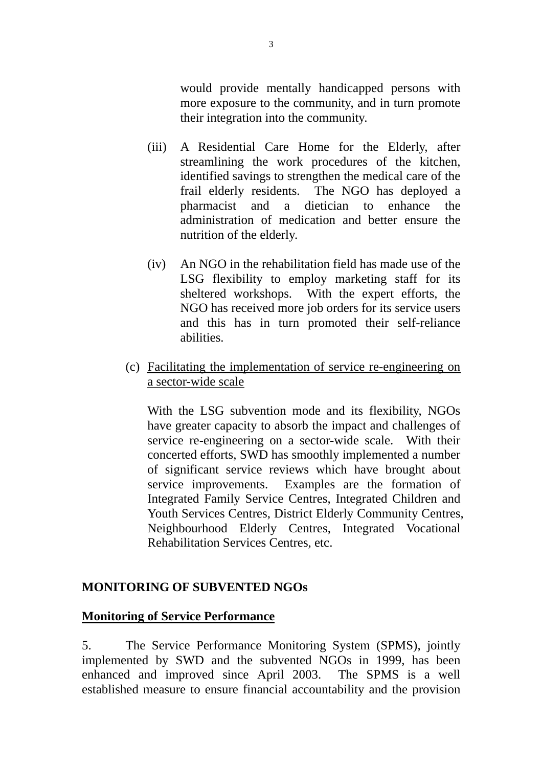would provide mentally handicapped persons with more exposure to the community, and in turn promote their integration into the community.

- (iii) A Residential Care Home for the Elderly, after streamlining the work procedures of the kitchen, identified savings to strengthen the medical care of the frail elderly residents. The NGO has deployed a pharmacist and a dietician to enhance the administration of medication and better ensure the nutrition of the elderly.
- (iv) An NGO in the rehabilitation field has made use of the LSG flexibility to employ marketing staff for its sheltered workshops. With the expert efforts, the NGO has received more job orders for its service users and this has in turn promoted their self-reliance abilities.
- (c) Facilitating the implementation of service re-engineering on a sector-wide scale

With the LSG subvention mode and its flexibility, NGOs have greater capacity to absorb the impact and challenges of service re-engineering on a sector-wide scale. With their concerted efforts, SWD has smoothly implemented a number of significant service reviews which have brought about service improvements. Examples are the formation of Integrated Family Service Centres, Integrated Children and Youth Services Centres, District Elderly Community Centres, Neighbourhood Elderly Centres, Integrated Vocational Rehabilitation Services Centres, etc.

#### **MONITORING OF SUBVENTED NGOs**

#### **Monitoring of Service Performance**

5. The Service Performance Monitoring System (SPMS), jointly implemented by SWD and the subvented NGOs in 1999, has been enhanced and improved since April 2003. The SPMS is a well established measure to ensure financial accountability and the provision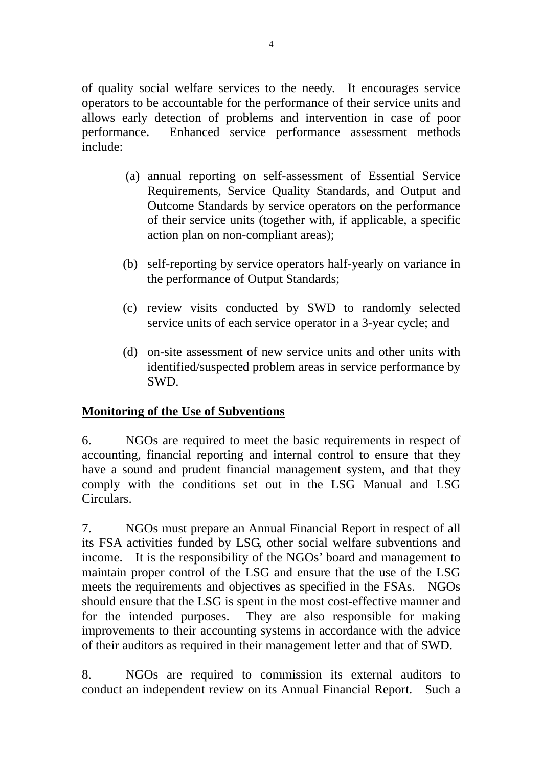of quality social welfare services to the needy. It encourages service operators to be accountable for the performance of their service units and allows early detection of problems and intervention in case of poor performance. Enhanced service performance assessment methods include:

- (a) annual reporting on self-assessment of Essential Service Requirements, Service Quality Standards, and Output and Outcome Standards by service operators on the performance of their service units (together with, if applicable, a specific action plan on non-compliant areas);
- (b) self-reporting by service operators half-yearly on variance in the performance of Output Standards;
- (c) review visits conducted by SWD to randomly selected service units of each service operator in a 3-year cycle; and
- (d) on-site assessment of new service units and other units with identified/suspected problem areas in service performance by SWD.

#### **Monitoring of the Use of Subventions**

6. NGOs are required to meet the basic requirements in respect of accounting, financial reporting and internal control to ensure that they have a sound and prudent financial management system, and that they comply with the conditions set out in the LSG Manual and LSG Circulars.

7. NGOs must prepare an Annual Financial Report in respect of all its FSA activities funded by LSG, other social welfare subventions and income. It is the responsibility of the NGOs' board and management to maintain proper control of the LSG and ensure that the use of the LSG meets the requirements and objectives as specified in the FSAs. NGOs should ensure that the LSG is spent in the most cost-effective manner and for the intended purposes. They are also responsible for making improvements to their accounting systems in accordance with the advice of their auditors as required in their management letter and that of SWD.

8. NGOs are required to commission its external auditors to conduct an independent review on its Annual Financial Report. Such a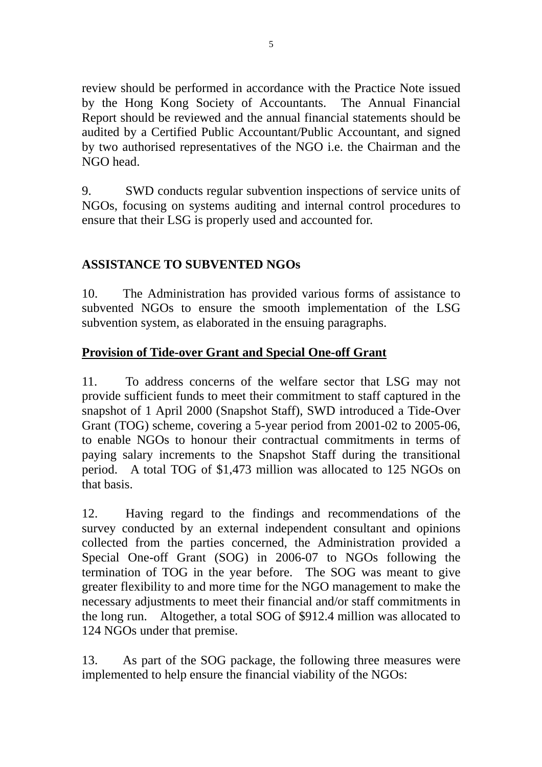review should be performed in accordance with the Practice Note issued by the Hong Kong Society of Accountants. The Annual Financial Report should be reviewed and the annual financial statements should be audited by a Certified Public Accountant/Public Accountant, and signed by two authorised representatives of the NGO i.e. the Chairman and the NGO head.

9. SWD conducts regular subvention inspections of service units of NGOs, focusing on systems auditing and internal control procedures to ensure that their LSG is properly used and accounted for.

# **ASSISTANCE TO SUBVENTED NGOs**

10. The Administration has provided various forms of assistance to subvented NGOs to ensure the smooth implementation of the LSG subvention system, as elaborated in the ensuing paragraphs.

#### **Provision of Tide-over Grant and Special One-off Grant**

11. To address concerns of the welfare sector that LSG may not provide sufficient funds to meet their commitment to staff captured in the snapshot of 1 April 2000 (Snapshot Staff), SWD introduced a Tide-Over Grant (TOG) scheme, covering a 5-year period from 2001-02 to 2005-06, to enable NGOs to honour their contractual commitments in terms of paying salary increments to the Snapshot Staff during the transitional period. A total TOG of \$1,473 million was allocated to 125 NGOs on that basis.

12. Having regard to the findings and recommendations of the survey conducted by an external independent consultant and opinions collected from the parties concerned, the Administration provided a Special One-off Grant (SOG) in 2006-07 to NGOs following the termination of TOG in the year before. The SOG was meant to give greater flexibility to and more time for the NGO management to make the necessary adjustments to meet their financial and/or staff commitments in the long run. Altogether, a total SOG of \$912.4 million was allocated to 124 NGOs under that premise.

13. As part of the SOG package, the following three measures were implemented to help ensure the financial viability of the NGOs: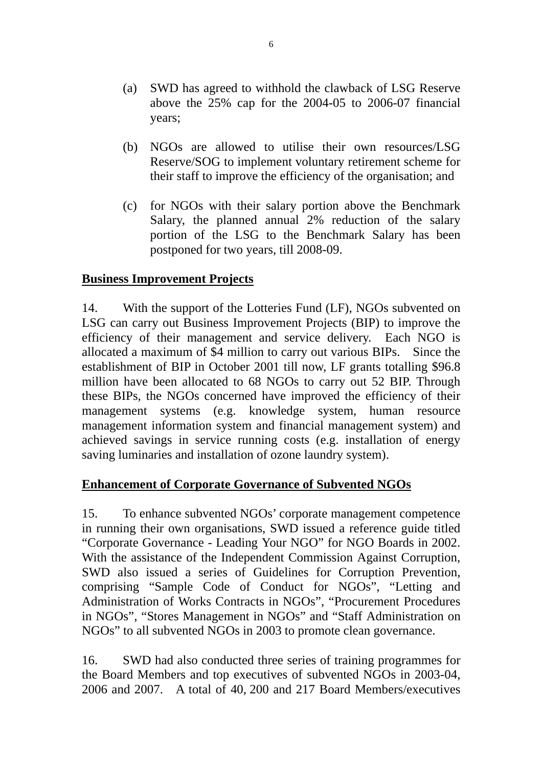- (a) SWD has agreed to withhold the clawback of LSG Reserve above the 25% cap for the 2004-05 to 2006-07 financial years;
- (b) NGOs are allowed to utilise their own resources/LSG Reserve/SOG to implement voluntary retirement scheme for their staff to improve the efficiency of the organisation; and
- (c) for NGOs with their salary portion above the Benchmark Salary, the planned annual 2% reduction of the salary portion of the LSG to the Benchmark Salary has been postponed for two years, till 2008-09.

#### **Business Improvement Projects**

14. With the support of the Lotteries Fund (LF), NGOs subvented on LSG can carry out Business Improvement Projects (BIP) to improve the efficiency of their management and service delivery. Each NGO is allocated a maximum of \$4 million to carry out various BIPs. Since the establishment of BIP in October 2001 till now, LF grants totalling \$96.8 million have been allocated to 68 NGOs to carry out 52 BIP. Through these BIPs, the NGOs concerned have improved the efficiency of their management systems (e.g. knowledge system, human resource management information system and financial management system) and achieved savings in service running costs (e.g. installation of energy saving luminaries and installation of ozone laundry system).

#### **Enhancement of Corporate Governance of Subvented NGOs**

15. To enhance subvented NGOs' corporate management competence in running their own organisations, SWD issued a reference guide titled "Corporate Governance - Leading Your NGO" for NGO Boards in 2002. With the assistance of the Independent Commission Against Corruption, SWD also issued a series of Guidelines for Corruption Prevention, comprising "Sample Code of Conduct for NGOs", "Letting and Administration of Works Contracts in NGOs", "Procurement Procedures in NGOs", "Stores Management in NGOs" and "Staff Administration on NGOs" to all subvented NGOs in 2003 to promote clean governance.

16. SWD had also conducted three series of training programmes for the Board Members and top executives of subvented NGOs in 2003-04, 2006 and 2007. A total of 40, 200 and 217 Board Members/executives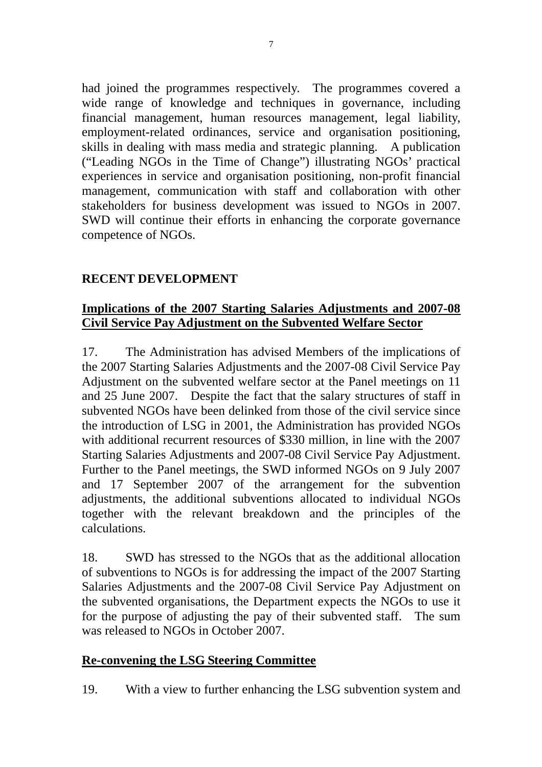had joined the programmes respectively. The programmes covered a wide range of knowledge and techniques in governance, including financial management, human resources management, legal liability, employment-related ordinances, service and organisation positioning, skills in dealing with mass media and strategic planning. A publication ("Leading NGOs in the Time of Change") illustrating NGOs' practical experiences in service and organisation positioning, non-profit financial management, communication with staff and collaboration with other stakeholders for business development was issued to NGOs in 2007. SWD will continue their efforts in enhancing the corporate governance competence of NGOs.

## **RECENT DEVELOPMENT**

#### **Implications of the 2007 Starting Salaries Adjustments and 2007-08 Civil Service Pay Adjustment on the Subvented Welfare Sector**

17. The Administration has advised Members of the implications of the 2007 Starting Salaries Adjustments and the 2007-08 Civil Service Pay Adjustment on the subvented welfare sector at the Panel meetings on 11 and 25 June 2007. Despite the fact that the salary structures of staff in subvented NGOs have been delinked from those of the civil service since the introduction of LSG in 2001, the Administration has provided NGOs with additional recurrent resources of \$330 million, in line with the 2007 Starting Salaries Adjustments and 2007-08 Civil Service Pay Adjustment. Further to the Panel meetings, the SWD informed NGOs on 9 July 2007 and 17 September 2007 of the arrangement for the subvention adjustments, the additional subventions allocated to individual NGOs together with the relevant breakdown and the principles of the calculations.

18. SWD has stressed to the NGOs that as the additional allocation of subventions to NGOs is for addressing the impact of the 2007 Starting Salaries Adjustments and the 2007-08 Civil Service Pay Adjustment on the subvented organisations, the Department expects the NGOs to use it for the purpose of adjusting the pay of their subvented staff. The sum was released to NGOs in October 2007.

#### **Re-convening the LSG Steering Committee**

19. With a view to further enhancing the LSG subvention system and